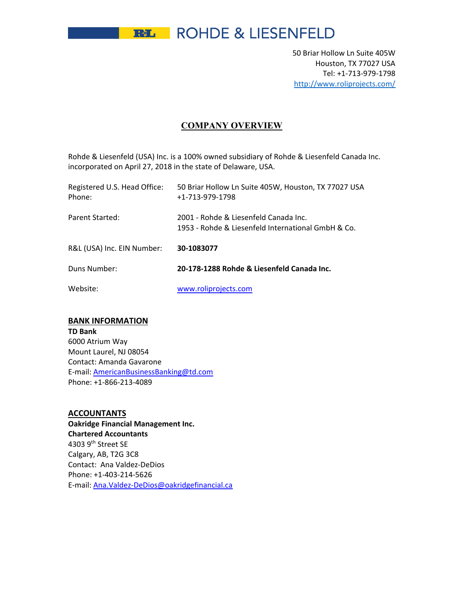**REL** ROHDE & LIESENFELD

50 Briar Hollow Ln Suite 405W Houston, TX 77027 USA Tel: +1‐713‐979‐1798 http://www.roliprojects.com/

## **COMPANY OVERVIEW**

Rohde & Liesenfeld (USA) Inc. is a 100% owned subsidiary of Rohde & Liesenfeld Canada Inc. incorporated on April 27, 2018 in the state of Delaware, USA.

| Registered U.S. Head Office:<br>Phone: | 50 Briar Hollow Ln Suite 405W, Houston, TX 77027 USA<br>+1-713-979-1798                     |
|----------------------------------------|---------------------------------------------------------------------------------------------|
| Parent Started:                        | 2001 - Rohde & Liesenfeld Canada Inc.<br>1953 - Rohde & Liesenfeld International GmbH & Co. |
| R&L (USA) Inc. EIN Number:             | 30-1083077                                                                                  |
| Duns Number:                           | 20-178-1288 Rohde & Liesenfeld Canada Inc.                                                  |
| Website:                               | www.roliprojects.com                                                                        |

### **BANK INFORMATION**

**TD Bank** 6000 Atrium Way Mount Laurel, NJ 08054 Contact: Amanda Gavarone E‐mail: AmericanBusinessBanking@td.com Phone: +1‐866‐213‐4089

# **ACCOUNTANTS**

**Oakridge Financial Management Inc. Chartered Accountants** 4303 9th Street SE Calgary, AB, T2G 3C8 Contact: Ana Valdez‐DeDios Phone: +1‐403‐214‐5626 E‐mail: Ana.Valdez‐DeDios@oakridgefinancial.ca